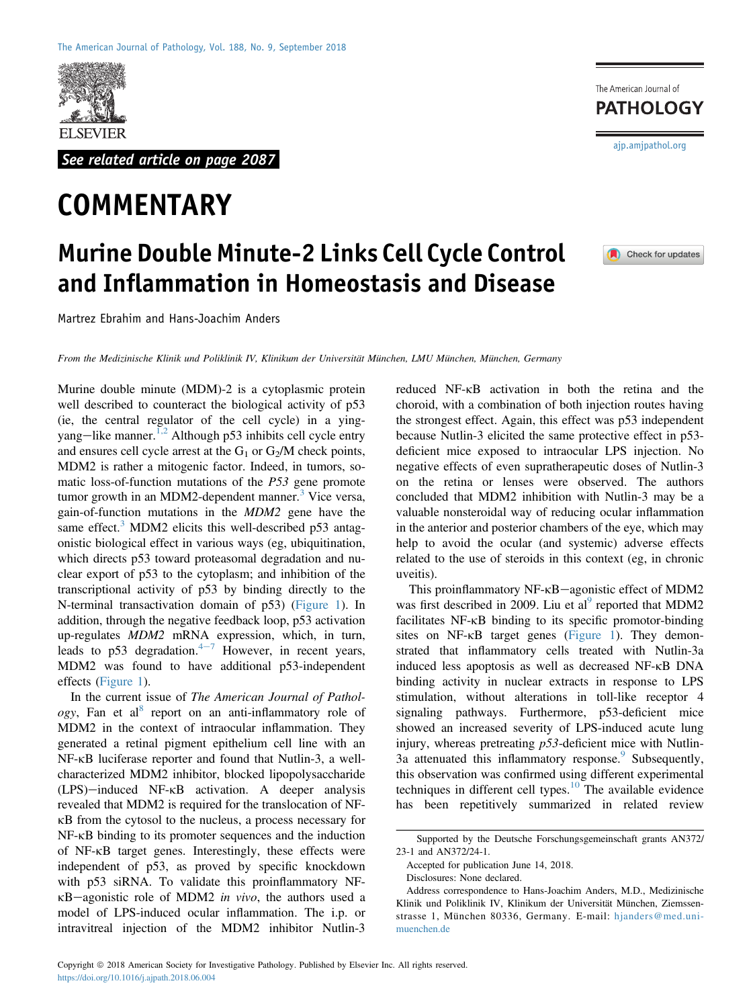

See related article on page 2087

## **COMMENTARY**

## Murine Double Minute-2 Links Cell Cycle Control and Inflammation in Homeostasis and Disease

Martrez Ebrahim and Hans-Joachim Anders

From the Medizinische Klinik und Poliklinik IV, Klinikum der Universität München, LMU München, München, Germany

Murine double minute (MDM)-2 is a cytoplasmic protein well described to counteract the biological activity of p53 (ie, the central regulator of the cell cycle) in a ying-yang-like manner.<sup>[1,2](#page-2-0)</sup> Although p53 inhibits cell cycle entry and ensures cell cycle arrest at the  $G_1$  or  $G_2/M$  check points, MDM2 is rather a mitogenic factor. Indeed, in tumors, somatic loss-of-function mutations of the P53 gene promote tumor growth in an MDM2-dependent manner.<sup>[3](#page-2-1)</sup> Vice versa, gain-of-function mutations in the MDM2 gene have the same effect.<sup>[3](#page-2-1)</sup> MDM2 elicits this well-described  $p53$  antagonistic biological effect in various ways (eg, ubiquitination, which directs p53 toward proteasomal degradation and nuclear export of p53 to the cytoplasm; and inhibition of the transcriptional activity of p53 by binding directly to the N-terminal transactivation domain of p53) ([Figure 1](#page-1-0)). In addition, through the negative feedback loop, p53 activation up-regulates MDM2 mRNA expression, which, in turn, leads to p53 degradation. $4\frac{1}{2}$  $4\frac{1}{2}$  However, in recent years, MDM2 was found to have additional p53-independent effects [\(Figure 1\)](#page-1-0).

In the current issue of The American Journal of Pathol*ogy*, Fan et al<sup>[8](#page-2-3)</sup> report on an anti-inflammatory role of MDM2 in the context of intraocular inflammation. They generated a retinal pigment epithelium cell line with an NF-kB luciferase reporter and found that Nutlin-3, a wellcharacterized MDM2 inhibitor, blocked lipopolysaccharide  $(LPS)$ —induced NF- $\kappa$ B activation. A deeper analysis revealed that MDM2 is required for the translocation of NFkB from the cytosol to the nucleus, a process necessary for NF-kB binding to its promoter sequences and the induction of NF-kB target genes. Interestingly, these effects were independent of p53, as proved by specific knockdown with p53 siRNA. To validate this proinflammatory NF- $\kappa$ B-agonistic role of MDM2 in vivo, the authors used a model of LPS-induced ocular inflammation. The i.p. or intravitreal injection of the MDM2 inhibitor Nutlin-3

The American Journal of **PATHOLOGY** [ajp.amjpathol.org](http://ajp.amjpathol.org)



reduced NF-kB activation in both the retina and the choroid, with a combination of both injection routes having the strongest effect. Again, this effect was p53 independent because Nutlin-3 elicited the same protective effect in p53 deficient mice exposed to intraocular LPS injection. No negative effects of even supratherapeutic doses of Nutlin-3 on the retina or lenses were observed. The authors concluded that MDM2 inhibition with Nutlin-3 may be a valuable nonsteroidal way of reducing ocular inflammation in the anterior and posterior chambers of the eye, which may help to avoid the ocular (and systemic) adverse effects related to the use of steroids in this context (eg, in chronic uveitis).

This proinflammatory  $NF$ - $\kappa$ B-agonistic effect of MDM2 was first described in 2009. Liu et al<sup>9</sup> reported that MDM2 facilitates NF-kB binding to its specific promotor-binding sites on NF-KB target genes ([Figure 1](#page-1-0)). They demonstrated that inflammatory cells treated with Nutlin-3a induced less apoptosis as well as decreased NF-kB DNA binding activity in nuclear extracts in response to LPS stimulation, without alterations in toll-like receptor 4 signaling pathways. Furthermore, p53-deficient mice showed an increased severity of LPS-induced acute lung injury, whereas pretreating  $p53$ -deficient mice with Nutlin-3a attenuated this inflammatory response.<sup>[9](#page-2-4)</sup> Subsequently, this observation was confirmed using different experimental techniques in different cell types. $\frac{10}{10}$  $\frac{10}{10}$  $\frac{10}{10}$  The available evidence has been repetitively summarized in related review

Supported by the Deutsche Forschungsgemeinschaft grants AN372/ 23-1 and AN372/24-1.

Accepted for publication June 14, 2018.

Disclosures: None declared.

Address correspondence to Hans-Joachim Anders, M.D., Medizinische Klinik und Poliklinik IV, Klinikum der Universität München, Ziemssenstrasse 1, München 80336, Germany. E-mail: [hjanders@med.uni](mailto:hjanders@med.uni-muenchen.de)[muenchen.de](mailto:hjanders@med.uni-muenchen.de)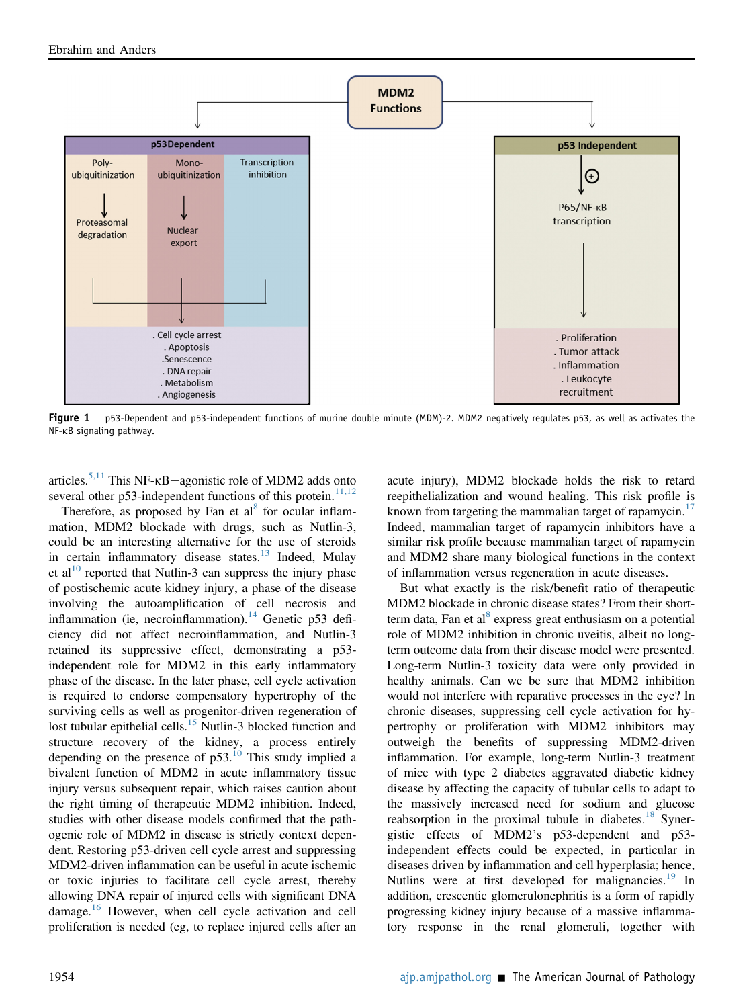<span id="page-1-0"></span>

Figure 1 p53-Dependent and p53-independent functions of murine double minute (MDM)-2. MDM2 negatively regulates p53, as well as activates the NF-kB signaling pathway.

articles.<sup>[5,11](#page-2-6)</sup> This NF- $\kappa$ B-agonistic role of MDM2 adds onto several other p53-independent functions of this protein.<sup>[11,12](#page-2-7)</sup>

Therefore, as proposed by Fan et  $al<sup>8</sup>$  $al<sup>8</sup>$  $al<sup>8</sup>$  for ocular inflammation, MDM2 blockade with drugs, such as Nutlin-3, could be an interesting alternative for the use of steroids in certain inflammatory disease states.<sup>[13](#page-2-8)</sup> Indeed, Mulay et al<sup>10</sup> reported that Nutlin-3 can suppress the injury phase of postischemic acute kidney injury, a phase of the disease involving the autoamplification of cell necrosis and inflammation (ie, necroinflammation).<sup>[14](#page-2-9)</sup> Genetic p53 deficiency did not affect necroinflammation, and Nutlin-3 retained its suppressive effect, demonstrating a p53 independent role for MDM2 in this early inflammatory phase of the disease. In the later phase, cell cycle activation is required to endorse compensatory hypertrophy of the surviving cells as well as progenitor-driven regeneration of lost tubular epithelial cells.<sup>[15](#page-2-10)</sup> Nutlin-3 blocked function and structure recovery of the kidney, a process entirely depending on the presence of  $p53$ .<sup>[10](#page-2-5)</sup> This study implied a bivalent function of MDM2 in acute inflammatory tissue injury versus subsequent repair, which raises caution about the right timing of therapeutic MDM2 inhibition. Indeed, studies with other disease models confirmed that the pathogenic role of MDM2 in disease is strictly context dependent. Restoring p53-driven cell cycle arrest and suppressing MDM2-driven inflammation can be useful in acute ischemic or toxic injuries to facilitate cell cycle arrest, thereby allowing DNA repair of injured cells with significant DNA damage.[16](#page-2-11) However, when cell cycle activation and cell proliferation is needed (eg, to replace injured cells after an

acute injury), MDM2 blockade holds the risk to retard reepithelialization and wound healing. This risk profile is known from targeting the mammalian target of rapamycin.<sup>[17](#page-2-12)</sup> Indeed, mammalian target of rapamycin inhibitors have a similar risk profile because mammalian target of rapamycin and MDM2 share many biological functions in the context of inflammation versus regeneration in acute diseases.

But what exactly is the risk/benefit ratio of therapeutic MDM2 blockade in chronic disease states? From their shortterm data, Fan et al $^{8}$  express great enthusiasm on a potential role of MDM2 inhibition in chronic uveitis, albeit no longterm outcome data from their disease model were presented. Long-term Nutlin-3 toxicity data were only provided in healthy animals. Can we be sure that MDM2 inhibition would not interfere with reparative processes in the eye? In chronic diseases, suppressing cell cycle activation for hypertrophy or proliferation with MDM2 inhibitors may outweigh the benefits of suppressing MDM2-driven inflammation. For example, long-term Nutlin-3 treatment of mice with type 2 diabetes aggravated diabetic kidney disease by affecting the capacity of tubular cells to adapt to the massively increased need for sodium and glucose reabsorption in the proximal tubule in diabetes. $18$  Synergistic effects of MDM2's p53-dependent and p53 independent effects could be expected, in particular in diseases driven by inflammation and cell hyperplasia; hence, Nutlins were at first developed for malignancies.<sup>[19](#page-2-14)</sup> In addition, crescentic glomerulonephritis is a form of rapidly progressing kidney injury because of a massive inflammatory response in the renal glomeruli, together with